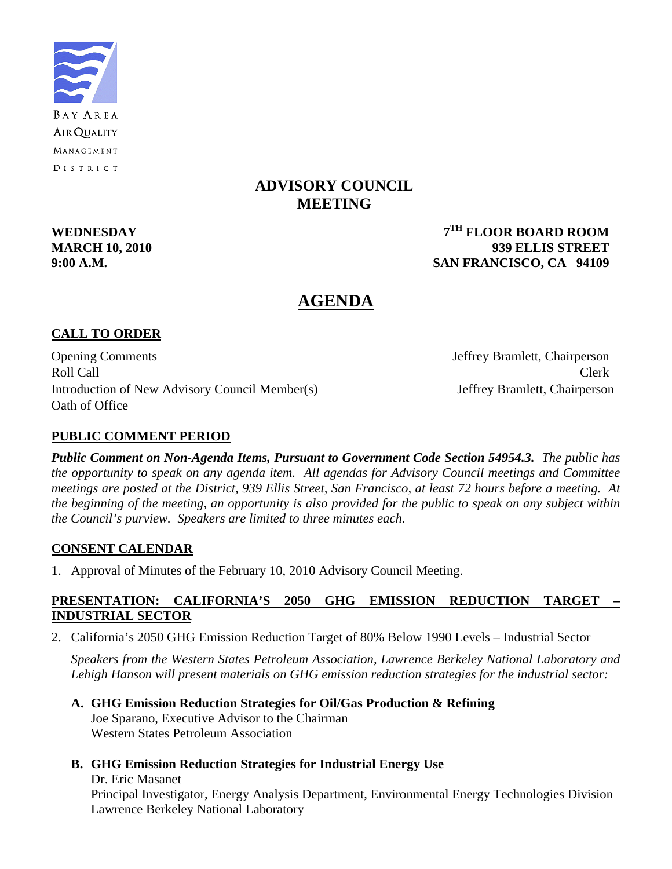

## **ADVISORY COUNCIL MEETING**

**WEDNESDAY 7TH FLOOR BOARD ROOM MARCH 10, 2010 939 ELLIS STREET 9:00 A.M. SAN FRANCISCO, CA 94109** 

## **AGENDA**

## **CALL TO ORDER**

Opening Comments Jeffrey Bramlett, Chairperson Roll Call Call Clerk Introduction of New Advisory Council Member(s) Jeffrey Bramlett, Chairperson Oath of Office

## **PUBLIC COMMENT PERIOD**

*Public Comment on Non-Agenda Items, Pursuant to Government Code Section 54954.3. The public has the opportunity to speak on any agenda item. All agendas for Advisory Council meetings and Committee meetings are posted at the District, 939 Ellis Street, San Francisco, at least 72 hours before a meeting. At the beginning of the meeting, an opportunity is also provided for the public to speak on any subject within the Council's purview. Speakers are limited to three minutes each.*

#### **CONSENT CALENDAR**

1. Approval of Minutes of the February 10, 2010 Advisory Council Meeting.

#### **PRESENTATION: CALIFORNIA'S 2050 GHG EMISSION REDUCTION TARGET – INDUSTRIAL SECTOR**

2. California's 2050 GHG Emission Reduction Target of 80% Below 1990 Levels – Industrial Sector

*Speakers from the Western States Petroleum Association, Lawrence Berkeley National Laboratory and Lehigh Hanson will present materials on GHG emission reduction strategies for the industrial sector:* 

- **A. GHG Emission Reduction Strategies for Oil/Gas Production & Refining**  Joe Sparano, Executive Advisor to the Chairman Western States Petroleum Association
- **B. GHG Emission Reduction Strategies for Industrial Energy Use**

Dr. Eric Masanet Principal Investigator, Energy Analysis Department, Environmental Energy Technologies Division Lawrence Berkeley National Laboratory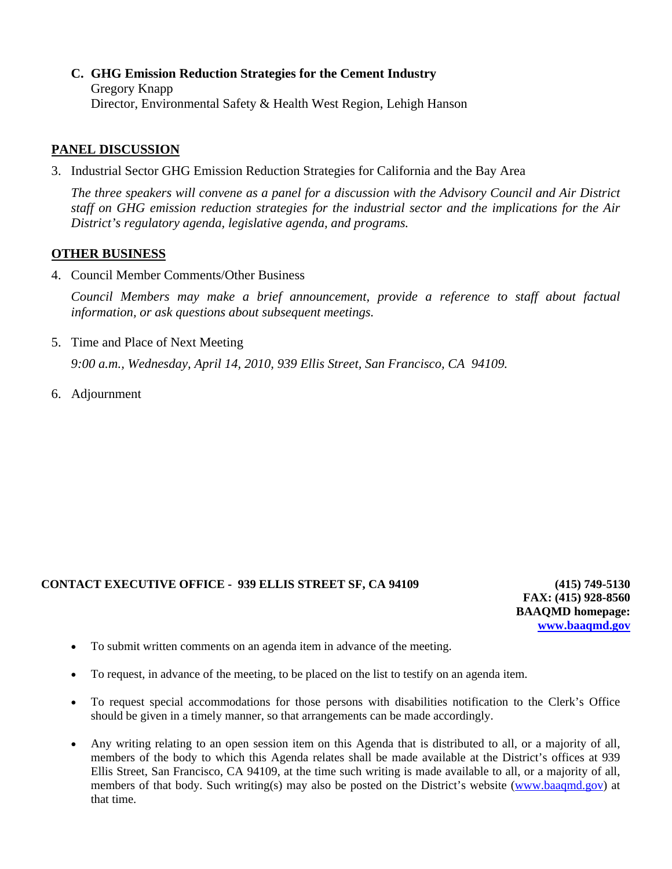**C. GHG Emission Reduction Strategies for the Cement Industry**  Gregory Knapp Director, Environmental Safety & Health West Region, Lehigh Hanson

#### **PANEL DISCUSSION**

3. Industrial Sector GHG Emission Reduction Strategies for California and the Bay Area

*The three speakers will convene as a panel for a discussion with the Advisory Council and Air District staff on GHG emission reduction strategies for the industrial sector and the implications for the Air District's regulatory agenda, legislative agenda, and programs.* 

#### **OTHER BUSINESS**

4. Council Member Comments/Other Business

*Council Members may make a brief announcement, provide a reference to staff about factual information, or ask questions about subsequent meetings.* 

5. Time and Place of Next Meeting

 *9:00 a.m., Wednesday, April 14, 2010, 939 Ellis Street, San Francisco, CA 94109.* 

6. Adjournment

#### **CONTACT EXECUTIVE OFFICE - 939 ELLIS STREET SF, CA 94109 (415) 749-5130**

**FAX: (415) 928-8560 BAAQMD homepage: [www.baaqmd.gov](http://www.baaqmd.gov/)**

- To submit written comments on an agenda item in advance of the meeting.
- To request, in advance of the meeting, to be placed on the list to testify on an agenda item.
- To request special accommodations for those persons with disabilities notification to the Clerk's Office should be given in a timely manner, so that arrangements can be made accordingly.
- Any writing relating to an open session item on this Agenda that is distributed to all, or a majority of all, members of the body to which this Agenda relates shall be made available at the District's offices at 939 Ellis Street, San Francisco, CA 94109, at the time such writing is made available to all, or a majority of all, members of that body. Such writing(s) may also be posted on the District's website [\(www.baaqmd.gov\)](http://www.baaqmd.gov/) at that time.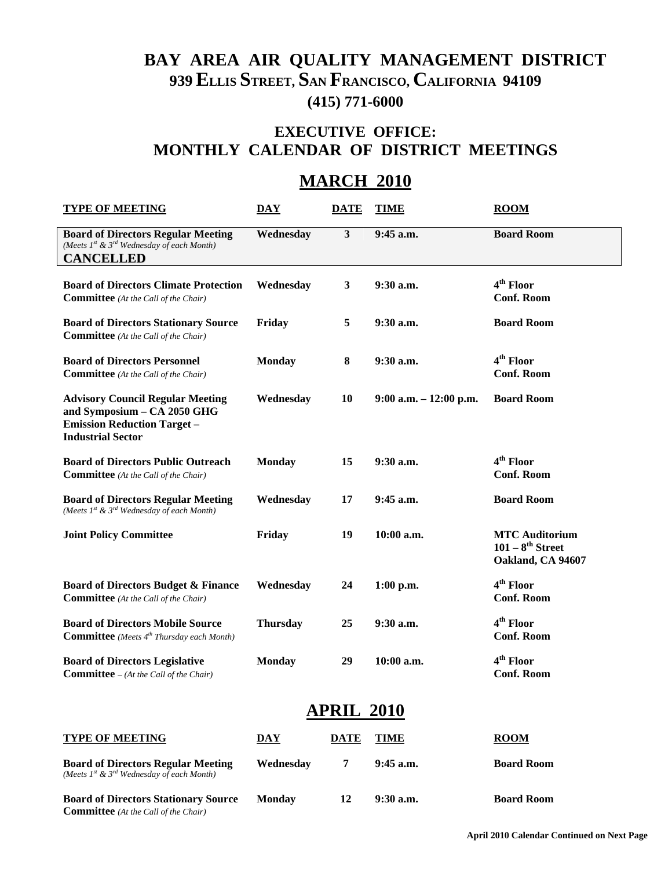# **BAY AREA AIR QUALITY MANAGEMENT DISTRICT 939 ELLIS STREET, SAN FRANCISCO, CALIFORNIA 94109 (415) 771-6000**

# **EXECUTIVE OFFICE: MONTHLY CALENDAR OF DISTRICT MEETINGS**

# **MARCH 2010**

| <b>TYPE OF MEETING</b>                                                                                                                   | <b>DAY</b>                | <b>DATE</b> | <b>TIME</b>               | <b>ROOM</b>                                                         |  |  |
|------------------------------------------------------------------------------------------------------------------------------------------|---------------------------|-------------|---------------------------|---------------------------------------------------------------------|--|--|
| <b>Board of Directors Regular Meeting</b><br>(Meets $Ist$ & $3rd$ Wednesday of each Month)<br><b>CANCELLED</b>                           | Wednesday                 | 3           | 9:45 a.m.                 | <b>Board Room</b>                                                   |  |  |
| <b>Board of Directors Climate Protection</b><br><b>Committee</b> (At the Call of the Chair)                                              | Wednesday                 | 3           | 9:30 a.m.                 | 4 <sup>th</sup> Floor<br><b>Conf. Room</b>                          |  |  |
| <b>Board of Directors Stationary Source</b><br><b>Committee</b> (At the Call of the Chair)                                               | Friday                    | 5           | 9:30 a.m.                 | <b>Board Room</b>                                                   |  |  |
| <b>Board of Directors Personnel</b><br><b>Committee</b> (At the Call of the Chair)                                                       | <b>Monday</b>             | $\bf{8}$    | 9:30 a.m.                 | 4 <sup>th</sup> Floor<br><b>Conf. Room</b>                          |  |  |
| <b>Advisory Council Regular Meeting</b><br>and Symposium - CA 2050 GHG<br><b>Emission Reduction Target -</b><br><b>Industrial Sector</b> | Wednesday                 | 10          | $9:00$ a.m. $-12:00$ p.m. | <b>Board Room</b>                                                   |  |  |
| <b>Board of Directors Public Outreach</b><br><b>Committee</b> (At the Call of the Chair)                                                 | <b>Monday</b>             | 15          | 9:30 a.m.                 | 4 <sup>th</sup> Floor<br><b>Conf. Room</b>                          |  |  |
| <b>Board of Directors Regular Meeting</b><br>(Meets $Ist$ & $3rd$ Wednesday of each Month)                                               | Wednesday                 | 17          | 9:45 a.m.                 | <b>Board Room</b>                                                   |  |  |
| <b>Joint Policy Committee</b>                                                                                                            | Friday                    | 19          | $10:00$ a.m.              | <b>MTC Auditorium</b><br>$101 - 8^{th}$ Street<br>Oakland, CA 94607 |  |  |
| <b>Board of Directors Budget &amp; Finance</b><br><b>Committee</b> (At the Call of the Chair)                                            | Wednesday                 | 24          | $1:00$ p.m.               | 4 <sup>th</sup> Floor<br><b>Conf. Room</b>                          |  |  |
| <b>Board of Directors Mobile Source</b><br><b>Committee</b> (Meets 4 <sup>th</sup> Thursday each Month)                                  | <b>Thursday</b>           | 25          | $9:30$ a.m.               | 4 <sup>th</sup> Floor<br><b>Conf. Room</b>                          |  |  |
| <b>Board of Directors Legislative</b><br><b>Committee</b> $-(At the Call of the Chair)$                                                  | <b>Monday</b>             | 29          | 10:00 a.m.                | 4 <sup>th</sup> Floor<br><b>Conf. Room</b>                          |  |  |
| APRIL 2010                                                                                                                               |                           |             |                           |                                                                     |  |  |
| <b>TYPE OF MEETING</b>                                                                                                                   | $\overline{\textbf{DAY}}$ | <b>DATE</b> | <b>TIME</b>               | $\overline{_{\text{ROM}}}$                                          |  |  |
| <b>Board of Directors Regular Meeting</b><br>(Meets $I^{st}$ & $3^{rd}$ Wednesday of each Month)                                         | Wednesday                 | 7           | $9:45$ a.m.               | <b>Board Room</b>                                                   |  |  |
| <b>Board of Directors Stationary Source</b><br><b>Committee</b> (At the Call of the Chair)                                               | <b>Monday</b>             | 12          | 9:30 a.m.                 | <b>Board Room</b>                                                   |  |  |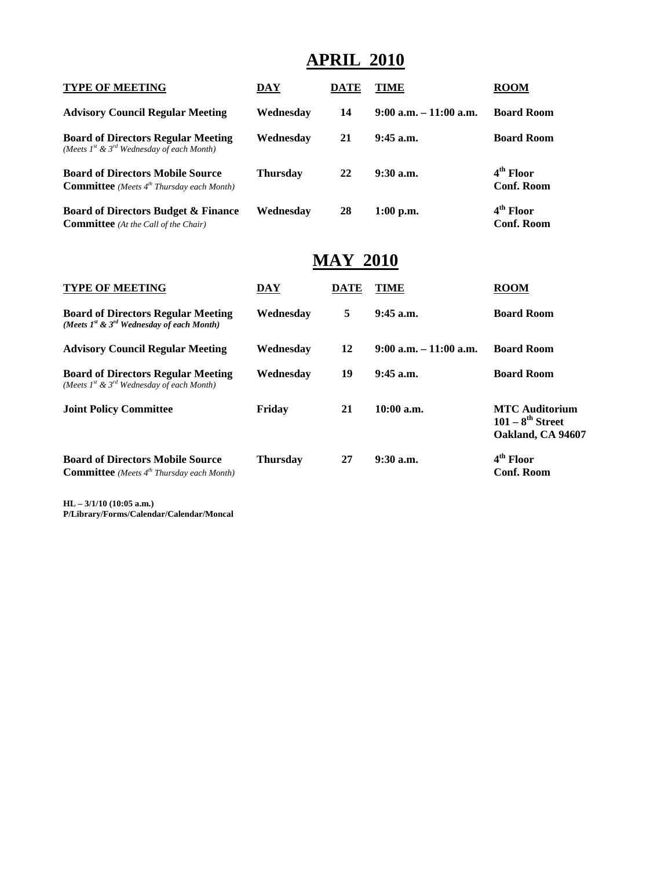# **APRIL 2010**

| <b>TYPE OF MEETING</b>                                                                                  | DAY             | <b>DATE</b>     | <b>TIME</b>               | <b>ROOM</b>                                                         |
|---------------------------------------------------------------------------------------------------------|-----------------|-----------------|---------------------------|---------------------------------------------------------------------|
| <b>Advisory Council Regular Meeting</b>                                                                 | Wednesday       | 14              | $9:00$ a.m. $-11:00$ a.m. | <b>Board Room</b>                                                   |
| <b>Board of Directors Regular Meeting</b><br>(Meets $Ist$ & $3rd$ Wednesday of each Month)              | Wednesday       | 21              | $9:45$ a.m.               | <b>Board Room</b>                                                   |
| <b>Board of Directors Mobile Source</b><br><b>Committee</b> (Meets 4 <sup>th</sup> Thursday each Month) | <b>Thursday</b> | 22              | $9:30$ a.m.               | 4 <sup>th</sup> Floor<br><b>Conf. Room</b>                          |
| <b>Board of Directors Budget &amp; Finance</b><br><b>Committee</b> (At the Call of the Chair)           | Wednesday       | 28              | $1:00$ p.m.               | 4 <sup>th</sup> Floor<br><b>Conf. Room</b>                          |
|                                                                                                         |                 | <b>MAY 2010</b> |                           |                                                                     |
| <b>TYPE OF MEETING</b>                                                                                  | DAY             | <b>DATE</b>     | <b>TIME</b>               | <b>ROOM</b>                                                         |
| <b>Board of Directors Regular Meeting</b><br>(Meets $I^{st}$ & $3^{rd}$ Wednesday of each Month)        | Wednesday       | 5               | $9:45$ a.m.               | <b>Board Room</b>                                                   |
| <b>Advisory Council Regular Meeting</b>                                                                 | Wednesday       | 12              | $9:00$ a.m. $-11:00$ a.m. | <b>Board Room</b>                                                   |
| <b>Board of Directors Regular Meeting</b><br>(Meets $I^{st}$ & $3^{rd}$ Wednesday of each Month)        | Wednesday       | 19              | $9:45$ a.m.               | <b>Board Room</b>                                                   |
| <b>Joint Policy Committee</b>                                                                           | Friday          | 21              | $10:00$ a.m.              | <b>MTC Auditorium</b><br>$101 - 8^{th}$ Street<br>Oakland, CA 94607 |
| <b>Board of Directors Mobile Source</b><br><b>Committee</b> (Meets $4^{th}$ Thursday each Month)        | <b>Thursday</b> | 27              | $9:30$ a.m.               | $4th$ Floor<br><b>Conf. Room</b>                                    |

**HL – 3/1/10 (10:05 a.m.) P/Library/Forms/Calendar/Calendar/Moncal**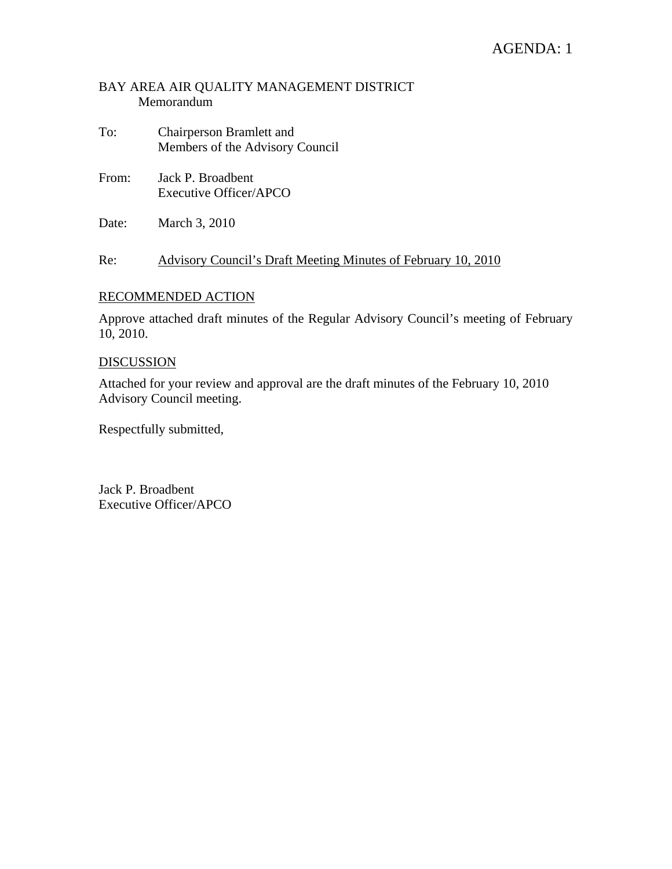## AGENDA: 1

#### BAY AREA AIR QUALITY MANAGEMENT DISTRICT Memorandum

- To: Chairperson Bramlett and Members of the Advisory Council
- From: Jack P. Broadbent Executive Officer/APCO
- Date: March 3, 2010

Re: Advisory Council's Draft Meeting Minutes of February 10, 2010

#### RECOMMENDED ACTION

Approve attached draft minutes of the Regular Advisory Council's meeting of February 10, 2010.

#### DISCUSSION

Attached for your review and approval are the draft minutes of the February 10, 2010 Advisory Council meeting.

Respectfully submitted,

Jack P. Broadbent Executive Officer/APCO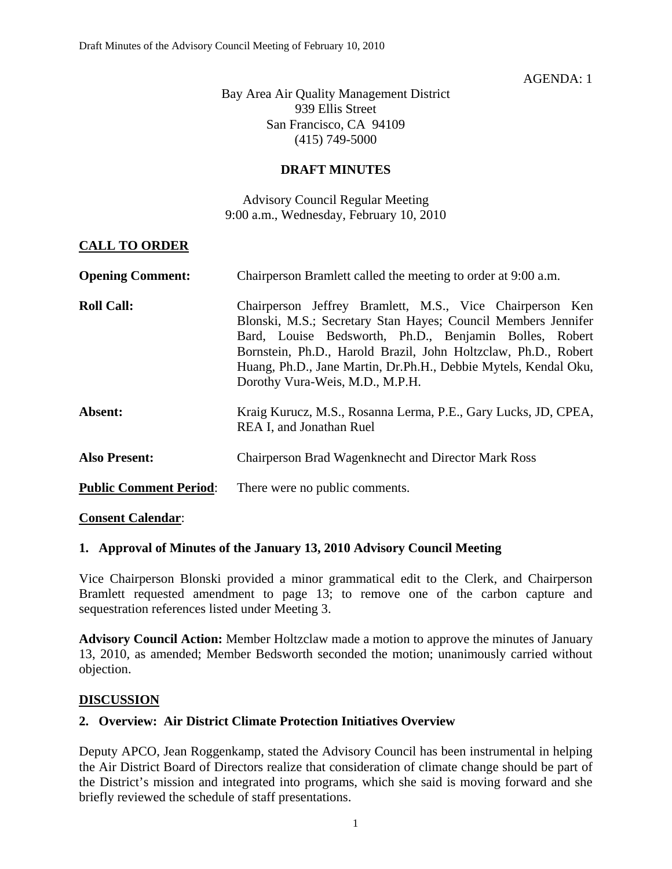#### AGENDA: 1

Bay Area Air Quality Management District 939 Ellis Street San Francisco, CA 94109 (415) 749-5000

#### **DRAFT MINUTES**

Advisory Council Regular Meeting 9:00 a.m., Wednesday, February 10, 2010

#### **CALL TO ORDER**

| <b>Opening Comment:</b>       | Chairperson Bramlett called the meeting to order at 9:00 a.m.                                                                                                                                                                                                                                                                                               |
|-------------------------------|-------------------------------------------------------------------------------------------------------------------------------------------------------------------------------------------------------------------------------------------------------------------------------------------------------------------------------------------------------------|
| <b>Roll Call:</b>             | Chairperson Jeffrey Bramlett, M.S., Vice Chairperson Ken<br>Blonski, M.S.; Secretary Stan Hayes; Council Members Jennifer<br>Bard, Louise Bedsworth, Ph.D., Benjamin Bolles, Robert<br>Bornstein, Ph.D., Harold Brazil, John Holtzclaw, Ph.D., Robert<br>Huang, Ph.D., Jane Martin, Dr.Ph.H., Debbie Mytels, Kendal Oku,<br>Dorothy Vura-Weis, M.D., M.P.H. |
| Absent:                       | Kraig Kurucz, M.S., Rosanna Lerma, P.E., Gary Lucks, JD, CPEA,<br>REA I, and Jonathan Ruel                                                                                                                                                                                                                                                                  |
| <b>Also Present:</b>          | <b>Chairperson Brad Wagenknecht and Director Mark Ross</b>                                                                                                                                                                                                                                                                                                  |
| <b>Public Comment Period:</b> | There were no public comments.                                                                                                                                                                                                                                                                                                                              |

#### **Consent Calendar**:

#### **1. Approval of Minutes of the January 13, 2010 Advisory Council Meeting**

Vice Chairperson Blonski provided a minor grammatical edit to the Clerk, and Chairperson Bramlett requested amendment to page 13; to remove one of the carbon capture and sequestration references listed under Meeting 3.

**Advisory Council Action:** Member Holtzclaw made a motion to approve the minutes of January 13, 2010, as amended; Member Bedsworth seconded the motion; unanimously carried without objection.

#### **DISCUSSION**

#### **2. Overview: Air District Climate Protection Initiatives Overview**

Deputy APCO, Jean Roggenkamp, stated the Advisory Council has been instrumental in helping the Air District Board of Directors realize that consideration of climate change should be part of the District's mission and integrated into programs, which she said is moving forward and she briefly reviewed the schedule of staff presentations.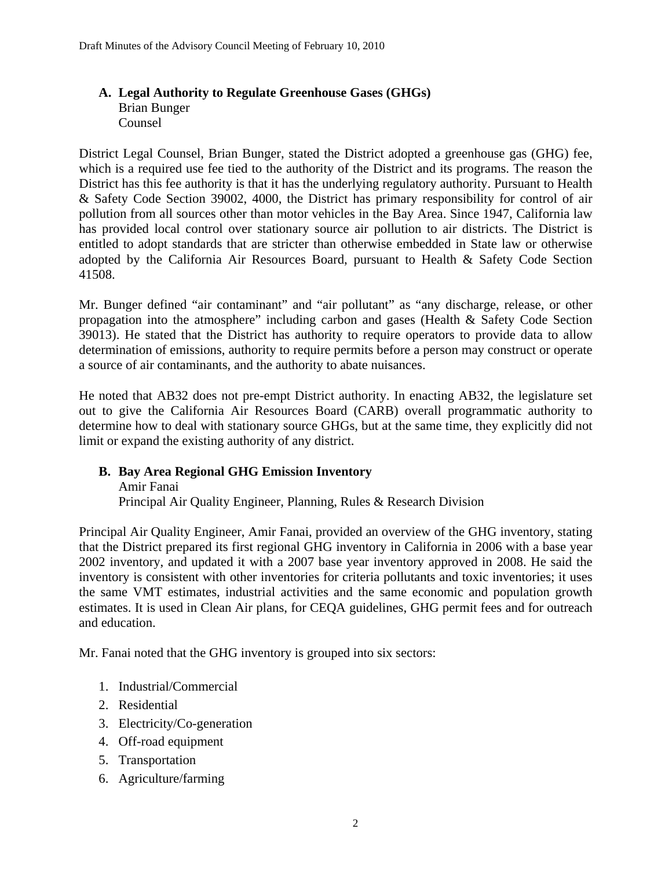#### **A. Legal Authority to Regulate Greenhouse Gases (GHGs)**  Brian Bunger Counsel

District Legal Counsel, Brian Bunger, stated the District adopted a greenhouse gas (GHG) fee, which is a required use fee tied to the authority of the District and its programs. The reason the District has this fee authority is that it has the underlying regulatory authority. Pursuant to Health & Safety Code Section 39002, 4000, the District has primary responsibility for control of air pollution from all sources other than motor vehicles in the Bay Area. Since 1947, California law has provided local control over stationary source air pollution to air districts. The District is entitled to adopt standards that are stricter than otherwise embedded in State law or otherwise adopted by the California Air Resources Board, pursuant to Health & Safety Code Section 41508.

Mr. Bunger defined "air contaminant" and "air pollutant" as "any discharge, release, or other propagation into the atmosphere" including carbon and gases (Health & Safety Code Section 39013). He stated that the District has authority to require operators to provide data to allow determination of emissions, authority to require permits before a person may construct or operate a source of air contaminants, and the authority to abate nuisances.

He noted that AB32 does not pre-empt District authority. In enacting AB32, the legislature set out to give the California Air Resources Board (CARB) overall programmatic authority to determine how to deal with stationary source GHGs, but at the same time, they explicitly did not limit or expand the existing authority of any district.

## **B. Bay Area Regional GHG Emission Inventory**

Amir Fanai Principal Air Quality Engineer, Planning, Rules & Research Division

Principal Air Quality Engineer, Amir Fanai, provided an overview of the GHG inventory, stating that the District prepared its first regional GHG inventory in California in 2006 with a base year 2002 inventory, and updated it with a 2007 base year inventory approved in 2008. He said the inventory is consistent with other inventories for criteria pollutants and toxic inventories; it uses the same VMT estimates, industrial activities and the same economic and population growth estimates. It is used in Clean Air plans, for CEQA guidelines, GHG permit fees and for outreach and education.

Mr. Fanai noted that the GHG inventory is grouped into six sectors:

- 1. Industrial/Commercial
- 2. Residential
- 3. Electricity/Co-generation
- 4. Off-road equipment
- 5. Transportation
- 6. Agriculture/farming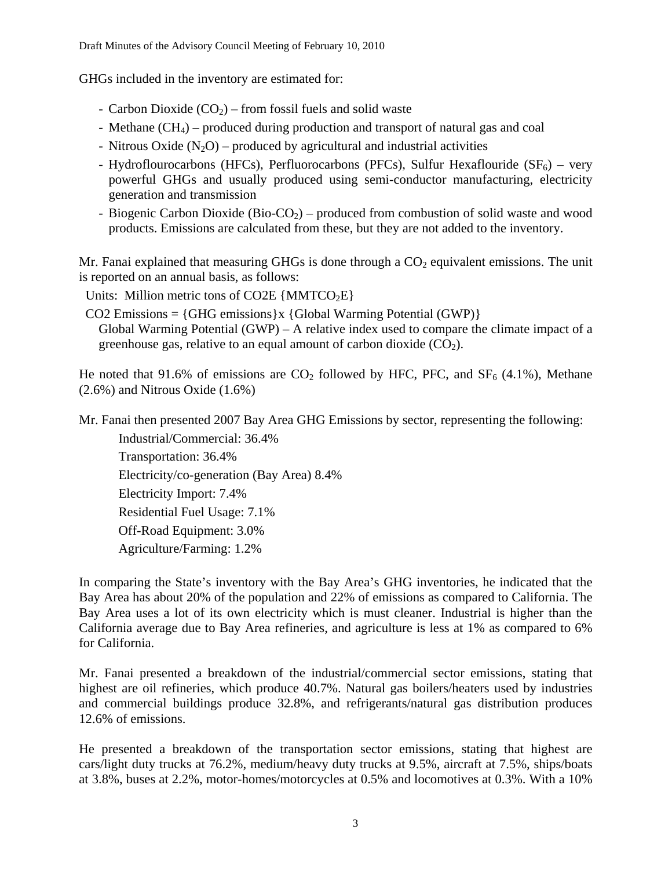GHGs included in the inventory are estimated for:

- Carbon Dioxide  $(CO<sub>2</sub>)$  from fossil fuels and solid waste
- Methane  $(CH_4)$  produced during production and transport of natural gas and coal
- Nitrous Oxide  $(N_2O)$  produced by agricultural and industrial activities
- Hydroflourocarbons (HFCs), Perfluorocarbons (PFCs), Sulfur Hexaflouride (SF $_6$ ) very powerful GHGs and usually produced using semi-conductor manufacturing, electricity generation and transmission
- Biogenic Carbon Dioxide  $(Bio-CO<sub>2</sub>)$  produced from combustion of solid waste and wood products. Emissions are calculated from these, but they are not added to the inventory.

Mr. Fanai explained that measuring GHGs is done through a  $CO<sub>2</sub>$  equivalent emissions. The unit is reported on an annual basis, as follows:

Units: Million metric tons of CO2E  $\{MMTCO<sub>2</sub>E\}$ 

 $CO2$  Emissions = {GHG emissions}x {Global Warming Potential (GWP)} Global Warming Potential (GWP) – A relative index used to compare the climate impact of a greenhouse gas, relative to an equal amount of carbon dioxide  $(CO<sub>2</sub>)$ .

He noted that 91.6% of emissions are  $CO<sub>2</sub>$  followed by HFC, PFC, and SF<sub>6</sub> (4.1%), Methane (2.6%) and Nitrous Oxide (1.6%)

Mr. Fanai then presented 2007 Bay Area GHG Emissions by sector, representing the following: Industrial/Commercial: 36.4% Transportation: 36.4% Electricity/co-generation (Bay Area) 8.4% Electricity Import: 7.4% Residential Fuel Usage: 7.1% Off-Road Equipment: 3.0% Agriculture/Farming: 1.2%

In comparing the State's inventory with the Bay Area's GHG inventories, he indicated that the Bay Area has about 20% of the population and 22% of emissions as compared to California. The Bay Area uses a lot of its own electricity which is must cleaner. Industrial is higher than the California average due to Bay Area refineries, and agriculture is less at 1% as compared to 6% for California.

Mr. Fanai presented a breakdown of the industrial/commercial sector emissions, stating that highest are oil refineries, which produce 40.7%. Natural gas boilers/heaters used by industries and commercial buildings produce 32.8%, and refrigerants/natural gas distribution produces 12.6% of emissions.

He presented a breakdown of the transportation sector emissions, stating that highest are cars/light duty trucks at 76.2%, medium/heavy duty trucks at 9.5%, aircraft at 7.5%, ships/boats at 3.8%, buses at 2.2%, motor-homes/motorcycles at 0.5% and locomotives at 0.3%. With a 10%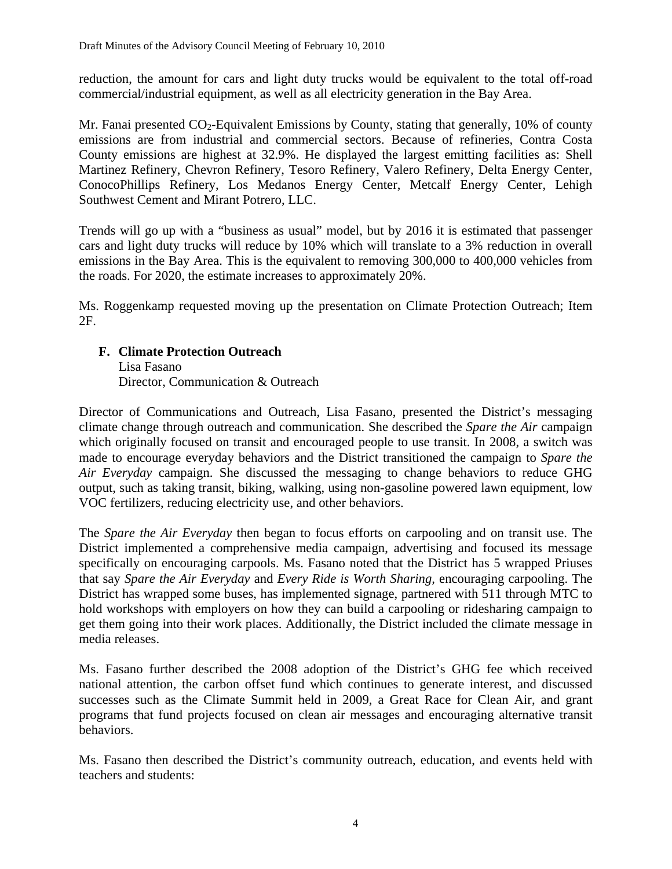reduction, the amount for cars and light duty trucks would be equivalent to the total off-road commercial/industrial equipment, as well as all electricity generation in the Bay Area.

Mr. Fanai presented  $CO_2$ -Equivalent Emissions by County, stating that generally, 10% of county emissions are from industrial and commercial sectors. Because of refineries, Contra Costa County emissions are highest at 32.9%. He displayed the largest emitting facilities as: Shell Martinez Refinery, Chevron Refinery, Tesoro Refinery, Valero Refinery, Delta Energy Center, ConocoPhillips Refinery, Los Medanos Energy Center, Metcalf Energy Center, Lehigh Southwest Cement and Mirant Potrero, LLC.

Trends will go up with a "business as usual" model, but by 2016 it is estimated that passenger cars and light duty trucks will reduce by 10% which will translate to a 3% reduction in overall emissions in the Bay Area. This is the equivalent to removing 300,000 to 400,000 vehicles from the roads. For 2020, the estimate increases to approximately 20%.

Ms. Roggenkamp requested moving up the presentation on Climate Protection Outreach; Item 2F.

#### **F. Climate Protection Outreach**

Lisa Fasano Director, Communication & Outreach

Director of Communications and Outreach, Lisa Fasano, presented the District's messaging climate change through outreach and communication. She described the *Spare the Air* campaign which originally focused on transit and encouraged people to use transit. In 2008, a switch was made to encourage everyday behaviors and the District transitioned the campaign to *Spare the Air Everyday* campaign. She discussed the messaging to change behaviors to reduce GHG output, such as taking transit, biking, walking, using non-gasoline powered lawn equipment, low VOC fertilizers, reducing electricity use, and other behaviors.

The *Spare the Air Everyday* then began to focus efforts on carpooling and on transit use. The District implemented a comprehensive media campaign, advertising and focused its message specifically on encouraging carpools. Ms. Fasano noted that the District has 5 wrapped Priuses that say *Spare the Air Everyday* and *Every Ride is Worth Sharing,* encouraging carpooling. The District has wrapped some buses, has implemented signage, partnered with 511 through MTC to hold workshops with employers on how they can build a carpooling or ridesharing campaign to get them going into their work places. Additionally, the District included the climate message in media releases.

Ms. Fasano further described the 2008 adoption of the District's GHG fee which received national attention, the carbon offset fund which continues to generate interest, and discussed successes such as the Climate Summit held in 2009, a Great Race for Clean Air, and grant programs that fund projects focused on clean air messages and encouraging alternative transit behaviors.

Ms. Fasano then described the District's community outreach, education, and events held with teachers and students: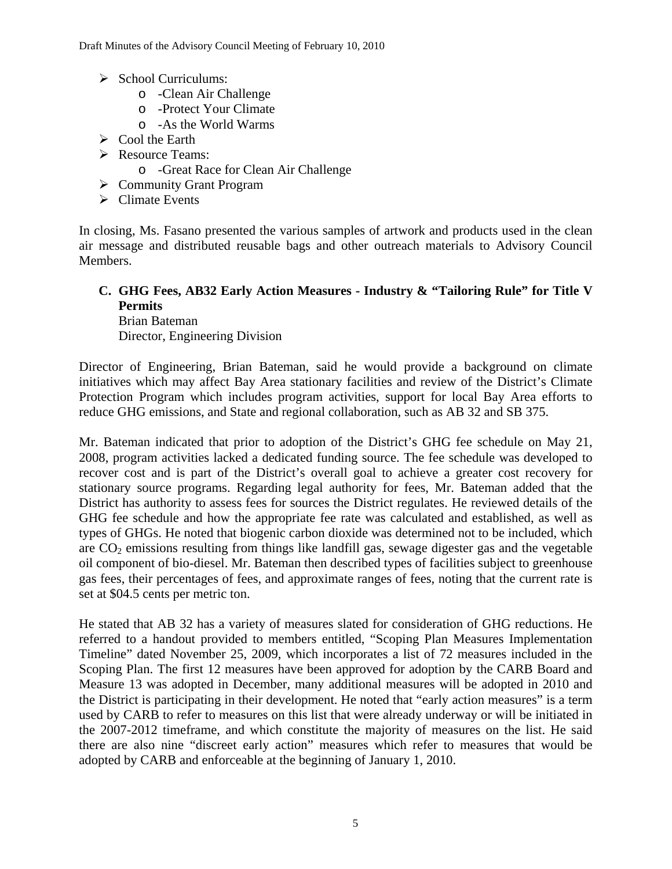- $\triangleright$  School Curriculums:
	- o -Clean Air Challenge
	- o -Protect Your Climate
	- o -As the World Warms
- $\triangleright$  Cool the Earth
- ¾ Resource Teams:
	- o -Great Race for Clean Air Challenge
- $\triangleright$  Community Grant Program
- $\triangleright$  Climate Events

In closing, Ms. Fasano presented the various samples of artwork and products used in the clean air message and distributed reusable bags and other outreach materials to Advisory Council Members.

#### **C. GHG Fees, AB32 Early Action Measures - Industry & "Tailoring Rule" for Title V Permits**  Brian Bateman

Director, Engineering Division

Director of Engineering, Brian Bateman, said he would provide a background on climate initiatives which may affect Bay Area stationary facilities and review of the District's Climate Protection Program which includes program activities, support for local Bay Area efforts to reduce GHG emissions, and State and regional collaboration, such as AB 32 and SB 375.

Mr. Bateman indicated that prior to adoption of the District's GHG fee schedule on May 21, 2008, program activities lacked a dedicated funding source. The fee schedule was developed to recover cost and is part of the District's overall goal to achieve a greater cost recovery for stationary source programs. Regarding legal authority for fees, Mr. Bateman added that the District has authority to assess fees for sources the District regulates. He reviewed details of the GHG fee schedule and how the appropriate fee rate was calculated and established, as well as types of GHGs. He noted that biogenic carbon dioxide was determined not to be included, which are  $CO<sub>2</sub>$  emissions resulting from things like landfill gas, sewage digester gas and the vegetable oil component of bio-diesel. Mr. Bateman then described types of facilities subject to greenhouse gas fees, their percentages of fees, and approximate ranges of fees, noting that the current rate is set at \$04.5 cents per metric ton.

He stated that AB 32 has a variety of measures slated for consideration of GHG reductions. He referred to a handout provided to members entitled, "Scoping Plan Measures Implementation Timeline" dated November 25, 2009, which incorporates a list of 72 measures included in the Scoping Plan. The first 12 measures have been approved for adoption by the CARB Board and Measure 13 was adopted in December, many additional measures will be adopted in 2010 and the District is participating in their development. He noted that "early action measures" is a term used by CARB to refer to measures on this list that were already underway or will be initiated in the 2007-2012 timeframe, and which constitute the majority of measures on the list. He said there are also nine "discreet early action" measures which refer to measures that would be adopted by CARB and enforceable at the beginning of January 1, 2010.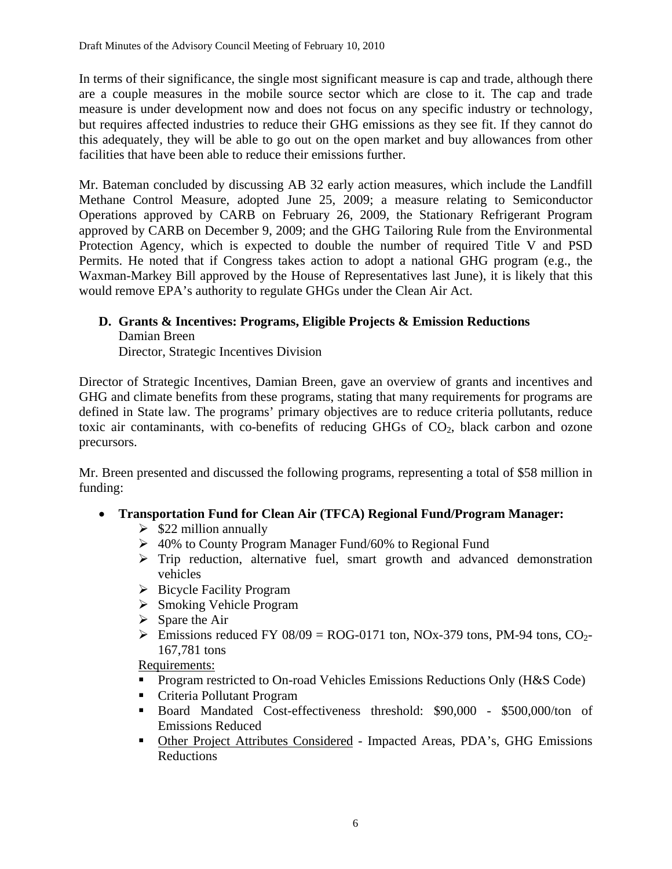In terms of their significance, the single most significant measure is cap and trade, although there are a couple measures in the mobile source sector which are close to it. The cap and trade measure is under development now and does not focus on any specific industry or technology, but requires affected industries to reduce their GHG emissions as they see fit. If they cannot do this adequately, they will be able to go out on the open market and buy allowances from other facilities that have been able to reduce their emissions further.

Mr. Bateman concluded by discussing AB 32 early action measures, which include the Landfill Methane Control Measure, adopted June 25, 2009; a measure relating to Semiconductor Operations approved by CARB on February 26, 2009, the Stationary Refrigerant Program approved by CARB on December 9, 2009; and the GHG Tailoring Rule from the Environmental Protection Agency, which is expected to double the number of required Title V and PSD Permits. He noted that if Congress takes action to adopt a national GHG program (e.g., the Waxman-Markey Bill approved by the House of Representatives last June), it is likely that this would remove EPA's authority to regulate GHGs under the Clean Air Act.

## **D. Grants & Incentives: Programs, Eligible Projects & Emission Reductions** Damian Breen

Director, Strategic Incentives Division

Director of Strategic Incentives, Damian Breen, gave an overview of grants and incentives and GHG and climate benefits from these programs, stating that many requirements for programs are defined in State law. The programs' primary objectives are to reduce criteria pollutants, reduce toxic air contaminants, with co-benefits of reducing GHGs of  $CO<sub>2</sub>$ , black carbon and ozone precursors.

Mr. Breen presented and discussed the following programs, representing a total of \$58 million in funding:

- **Transportation Fund for Clean Air (TFCA) Regional Fund/Program Manager:** 
	- $\geq$  \$22 million annually
	- ¾ 40% to County Program Manager Fund/60% to Regional Fund
	- $\triangleright$  Trip reduction, alternative fuel, smart growth and advanced demonstration vehicles
	- $\triangleright$  Bicycle Facility Program
	- $\triangleright$  Smoking Vehicle Program
	- $\triangleright$  Spare the Air
	- Emissions reduced FY 08/09 = ROG-0171 ton, NOx-379 tons, PM-94 tons, CO<sub>2</sub>-167,781 tons

Requirements:

- **Program restricted to On-road Vehicles Emissions Reductions Only (H&S Code)**
- Criteria Pollutant Program
- Board Mandated Cost-effectiveness threshold: \$90,000 \$500,000/ton of Emissions Reduced
- **Other Project Attributes Considered Impacted Areas, PDA's, GHG Emissions** Reductions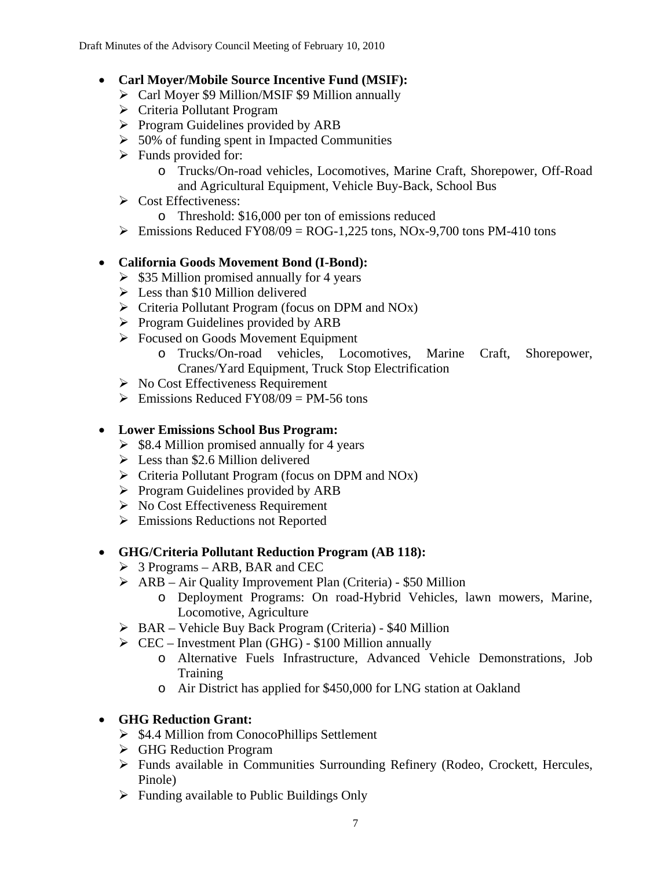## • **Carl Moyer/Mobile Source Incentive Fund (MSIF):**

- ¾ Carl Moyer \$9 Million/MSIF \$9 Million annually
- ¾ Criteria Pollutant Program
- $\triangleright$  Program Guidelines provided by ARB
- $\geq 50\%$  of funding spent in Impacted Communities
- $\triangleright$  Funds provided for:
	- o Trucks/On-road vehicles, Locomotives, Marine Craft, Shorepower, Off-Road and Agricultural Equipment, Vehicle Buy-Back, School Bus
- $\triangleright$  Cost Effectiveness:
	- o Threshold: \$16,000 per ton of emissions reduced
- $\triangleright$  Emissions Reduced FY08/09 = ROG-1,225 tons, NOx-9,700 tons PM-410 tons

## • **California Goods Movement Bond (I-Bond):**

- $\geq$  \$35 Million promised annually for 4 years
- $\triangleright$  Less than \$10 Million delivered
- $\triangleright$  Criteria Pollutant Program (focus on DPM and NOx)
- $\triangleright$  Program Guidelines provided by ARB
- ¾ Focused on Goods Movement Equipment
	- o Trucks/On-road vehicles, Locomotives, Marine Craft, Shorepower, Cranes/Yard Equipment, Truck Stop Electrification
- $\triangleright$  No Cost Effectiveness Requirement
- $\triangleright$  Emissions Reduced FY08/09 = PM-56 tons

## • **Lower Emissions School Bus Program:**

- $\triangleright$  \$8.4 Million promised annually for 4 years
- $\geq$  Less than \$2.6 Million delivered
- $\triangleright$  Criteria Pollutant Program (focus on DPM and NOx)
- $\triangleright$  Program Guidelines provided by ARB
- $\triangleright$  No Cost Effectiveness Requirement
- $\triangleright$  Emissions Reductions not Reported

## • **GHG/Criteria Pollutant Reduction Program (AB 118):**

- $\triangleright$  3 Programs ARB, BAR and CEC
- $\triangleright$  ARB Air Quality Improvement Plan (Criteria) \$50 Million
	- o Deployment Programs: On road-Hybrid Vehicles, lawn mowers, Marine, Locomotive, Agriculture
- ¾ BAR Vehicle Buy Back Program (Criteria) \$40 Million
- $\triangleright$  CEC Investment Plan (GHG) \$100 Million annually
	- o Alternative Fuels Infrastructure, Advanced Vehicle Demonstrations, Job Training
	- o Air District has applied for \$450,000 for LNG station at Oakland

## • **GHG Reduction Grant:**

- $\triangleright$  \$4.4 Million from ConocoPhillips Settlement
- $\triangleright$  GHG Reduction Program
- ¾ Funds available in Communities Surrounding Refinery (Rodeo, Crockett, Hercules, Pinole)
- $\triangleright$  Funding available to Public Buildings Only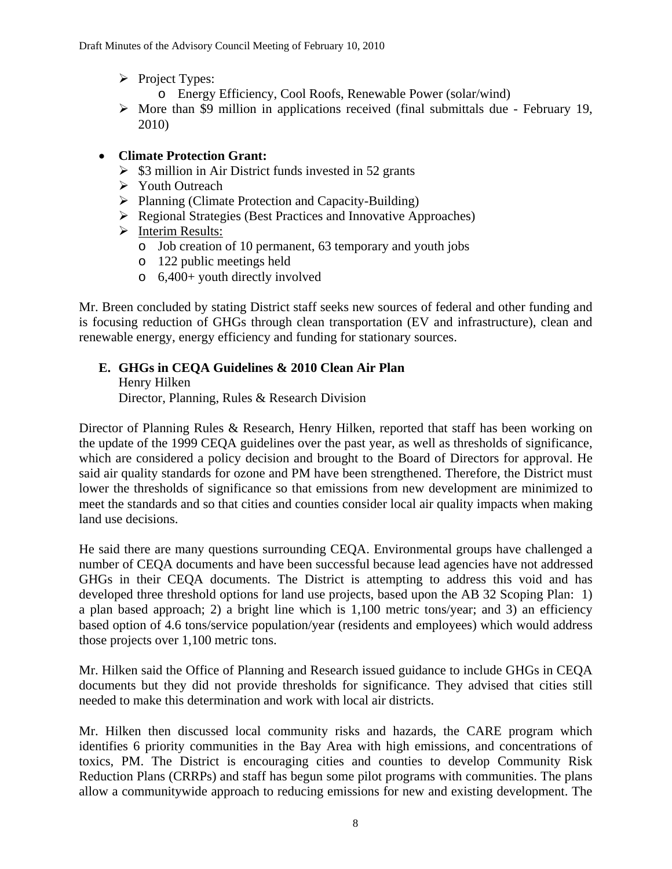- $\triangleright$  Project Types:
	- o Energy Efficiency, Cool Roofs, Renewable Power (solar/wind)
- $\triangleright$  More than \$9 million in applications received (final submittals due February 19, 2010)

### • **Climate Protection Grant:**

- $\triangleright$  \$3 million in Air District funds invested in 52 grants
- ¾ Youth Outreach
- $\triangleright$  Planning (Climate Protection and Capacity-Building)
- ¾ Regional Strategies (Best Practices and Innovative Approaches)
- ¾ Interim Results:
	- o Job creation of 10 permanent, 63 temporary and youth jobs
	- o 122 public meetings held
	- o 6,400+ youth directly involved

Mr. Breen concluded by stating District staff seeks new sources of federal and other funding and is focusing reduction of GHGs through clean transportation (EV and infrastructure), clean and renewable energy, energy efficiency and funding for stationary sources.

## **E. GHGs in CEQA Guidelines & 2010 Clean Air Plan**  Henry Hilken

Director, Planning, Rules & Research Division

Director of Planning Rules & Research, Henry Hilken, reported that staff has been working on the update of the 1999 CEQA guidelines over the past year, as well as thresholds of significance, which are considered a policy decision and brought to the Board of Directors for approval. He said air quality standards for ozone and PM have been strengthened. Therefore, the District must lower the thresholds of significance so that emissions from new development are minimized to meet the standards and so that cities and counties consider local air quality impacts when making land use decisions.

He said there are many questions surrounding CEQA. Environmental groups have challenged a number of CEQA documents and have been successful because lead agencies have not addressed GHGs in their CEQA documents. The District is attempting to address this void and has developed three threshold options for land use projects, based upon the AB 32 Scoping Plan: 1) a plan based approach; 2) a bright line which is 1,100 metric tons/year; and 3) an efficiency based option of 4.6 tons/service population/year (residents and employees) which would address those projects over 1,100 metric tons.

Mr. Hilken said the Office of Planning and Research issued guidance to include GHGs in CEQA documents but they did not provide thresholds for significance. They advised that cities still needed to make this determination and work with local air districts.

Mr. Hilken then discussed local community risks and hazards, the CARE program which identifies 6 priority communities in the Bay Area with high emissions, and concentrations of toxics, PM. The District is encouraging cities and counties to develop Community Risk Reduction Plans (CRRPs) and staff has begun some pilot programs with communities. The plans allow a communitywide approach to reducing emissions for new and existing development. The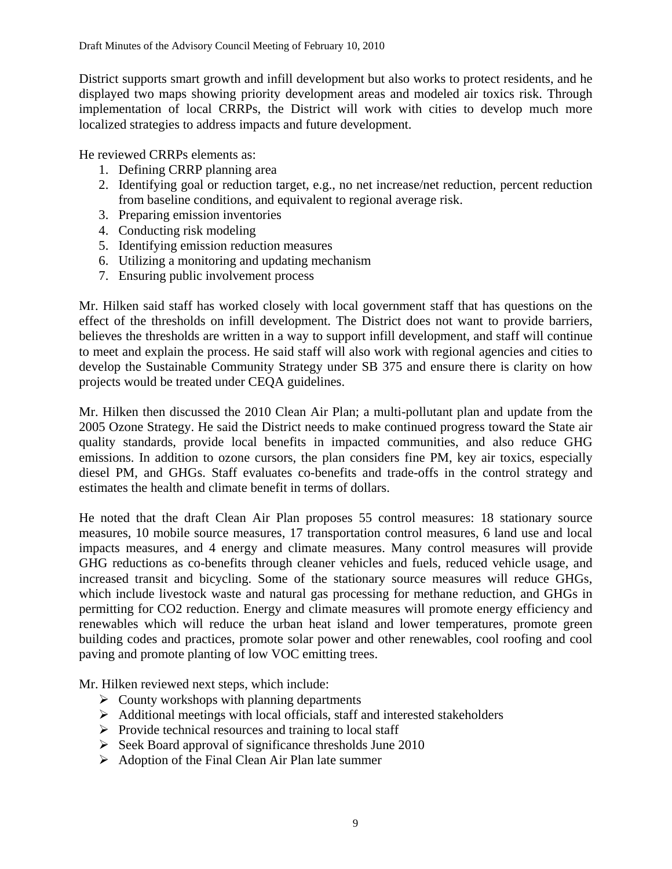District supports smart growth and infill development but also works to protect residents, and he displayed two maps showing priority development areas and modeled air toxics risk. Through implementation of local CRRPs, the District will work with cities to develop much more localized strategies to address impacts and future development.

He reviewed CRRPs elements as:

- 1. Defining CRRP planning area
- 2. Identifying goal or reduction target, e.g., no net increase/net reduction, percent reduction from baseline conditions, and equivalent to regional average risk.
- 3. Preparing emission inventories
- 4. Conducting risk modeling
- 5. Identifying emission reduction measures
- 6. Utilizing a monitoring and updating mechanism
- 7. Ensuring public involvement process

Mr. Hilken said staff has worked closely with local government staff that has questions on the effect of the thresholds on infill development. The District does not want to provide barriers, believes the thresholds are written in a way to support infill development, and staff will continue to meet and explain the process. He said staff will also work with regional agencies and cities to develop the Sustainable Community Strategy under SB 375 and ensure there is clarity on how projects would be treated under CEQA guidelines.

Mr. Hilken then discussed the 2010 Clean Air Plan; a multi-pollutant plan and update from the 2005 Ozone Strategy. He said the District needs to make continued progress toward the State air quality standards, provide local benefits in impacted communities, and also reduce GHG emissions. In addition to ozone cursors, the plan considers fine PM, key air toxics, especially diesel PM, and GHGs. Staff evaluates co-benefits and trade-offs in the control strategy and estimates the health and climate benefit in terms of dollars.

He noted that the draft Clean Air Plan proposes 55 control measures: 18 stationary source measures, 10 mobile source measures, 17 transportation control measures, 6 land use and local impacts measures, and 4 energy and climate measures. Many control measures will provide GHG reductions as co-benefits through cleaner vehicles and fuels, reduced vehicle usage, and increased transit and bicycling. Some of the stationary source measures will reduce GHGs, which include livestock waste and natural gas processing for methane reduction, and GHGs in permitting for CO2 reduction. Energy and climate measures will promote energy efficiency and renewables which will reduce the urban heat island and lower temperatures, promote green building codes and practices, promote solar power and other renewables, cool roofing and cool paving and promote planting of low VOC emitting trees.

Mr. Hilken reviewed next steps, which include:

- $\triangleright$  County workshops with planning departments
- $\triangleright$  Additional meetings with local officials, staff and interested stakeholders
- $\triangleright$  Provide technical resources and training to local staff
- $\triangleright$  Seek Board approval of significance thresholds June 2010
- $\triangleright$  Adoption of the Final Clean Air Plan late summer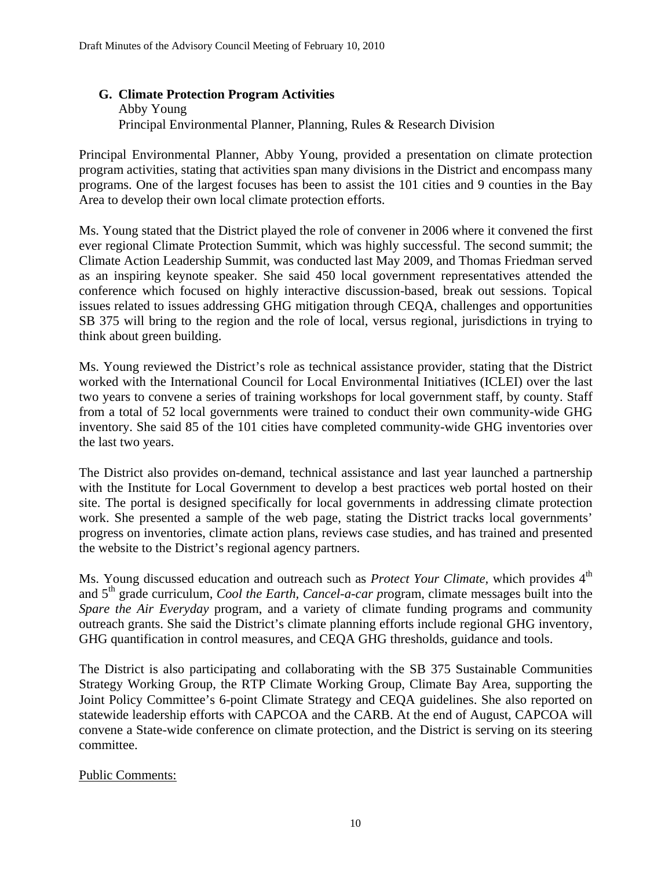#### **G. Climate Protection Program Activities**

Abby Young Principal Environmental Planner, Planning, Rules & Research Division

Principal Environmental Planner, Abby Young, provided a presentation on climate protection program activities, stating that activities span many divisions in the District and encompass many programs. One of the largest focuses has been to assist the 101 cities and 9 counties in the Bay Area to develop their own local climate protection efforts.

Ms. Young stated that the District played the role of convener in 2006 where it convened the first ever regional Climate Protection Summit, which was highly successful. The second summit; the Climate Action Leadership Summit, was conducted last May 2009, and Thomas Friedman served as an inspiring keynote speaker. She said 450 local government representatives attended the conference which focused on highly interactive discussion-based, break out sessions. Topical issues related to issues addressing GHG mitigation through CEQA, challenges and opportunities SB 375 will bring to the region and the role of local, versus regional, jurisdictions in trying to think about green building.

Ms. Young reviewed the District's role as technical assistance provider, stating that the District worked with the International Council for Local Environmental Initiatives (ICLEI) over the last two years to convene a series of training workshops for local government staff, by county. Staff from a total of 52 local governments were trained to conduct their own community-wide GHG inventory. She said 85 of the 101 cities have completed community-wide GHG inventories over the last two years.

The District also provides on-demand, technical assistance and last year launched a partnership with the Institute for Local Government to develop a best practices web portal hosted on their site. The portal is designed specifically for local governments in addressing climate protection work. She presented a sample of the web page, stating the District tracks local governments' progress on inventories, climate action plans, reviews case studies, and has trained and presented the website to the District's regional agency partners.

Ms. Young discussed education and outreach such as *Protect Your Climate*, which provides 4<sup>th</sup> and 5th grade curriculum, *Cool the Earth, Cancel-a-car p*rogram, climate messages built into the *Spare the Air Everyday* program, and a variety of climate funding programs and community outreach grants. She said the District's climate planning efforts include regional GHG inventory, GHG quantification in control measures, and CEQA GHG thresholds, guidance and tools.

The District is also participating and collaborating with the SB 375 Sustainable Communities Strategy Working Group, the RTP Climate Working Group, Climate Bay Area, supporting the Joint Policy Committee's 6-point Climate Strategy and CEQA guidelines. She also reported on statewide leadership efforts with CAPCOA and the CARB. At the end of August, CAPCOA will convene a State-wide conference on climate protection, and the District is serving on its steering committee.

#### Public Comments: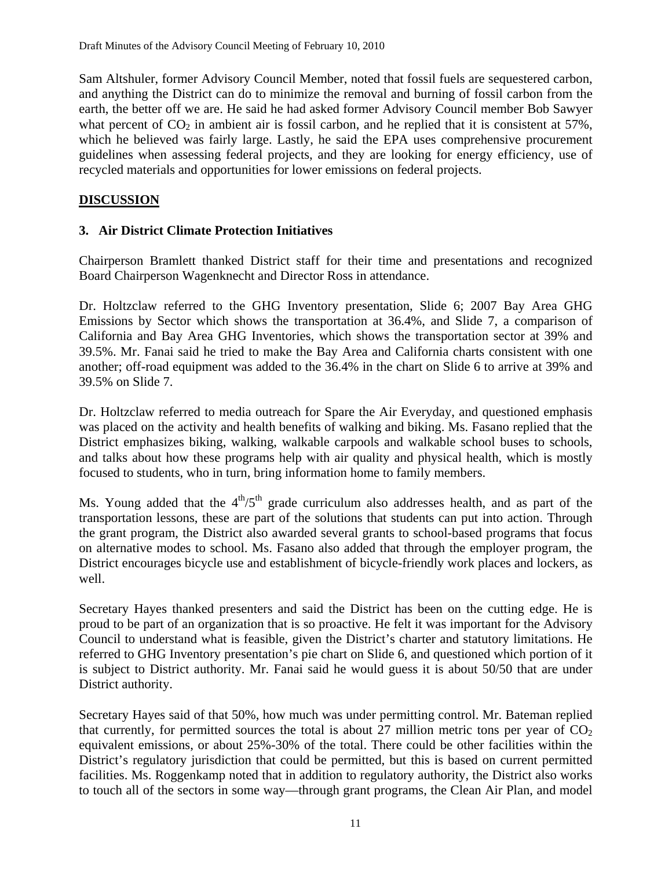Sam Altshuler, former Advisory Council Member, noted that fossil fuels are sequestered carbon, and anything the District can do to minimize the removal and burning of fossil carbon from the earth, the better off we are. He said he had asked former Advisory Council member Bob Sawyer what percent of  $CO<sub>2</sub>$  in ambient air is fossil carbon, and he replied that it is consistent at 57%, which he believed was fairly large. Lastly, he said the EPA uses comprehensive procurement guidelines when assessing federal projects, and they are looking for energy efficiency, use of recycled materials and opportunities for lower emissions on federal projects.

### **DISCUSSION**

#### **3. Air District Climate Protection Initiatives**

Chairperson Bramlett thanked District staff for their time and presentations and recognized Board Chairperson Wagenknecht and Director Ross in attendance.

Dr. Holtzclaw referred to the GHG Inventory presentation, Slide 6; 2007 Bay Area GHG Emissions by Sector which shows the transportation at 36.4%, and Slide 7, a comparison of California and Bay Area GHG Inventories, which shows the transportation sector at 39% and 39.5%. Mr. Fanai said he tried to make the Bay Area and California charts consistent with one another; off-road equipment was added to the 36.4% in the chart on Slide 6 to arrive at 39% and 39.5% on Slide 7.

Dr. Holtzclaw referred to media outreach for Spare the Air Everyday, and questioned emphasis was placed on the activity and health benefits of walking and biking. Ms. Fasano replied that the District emphasizes biking, walking, walkable carpools and walkable school buses to schools, and talks about how these programs help with air quality and physical health, which is mostly focused to students, who in turn, bring information home to family members.

Ms. Young added that the  $4<sup>th</sup>/5<sup>th</sup>$  grade curriculum also addresses health, and as part of the transportation lessons, these are part of the solutions that students can put into action. Through the grant program, the District also awarded several grants to school-based programs that focus on alternative modes to school. Ms. Fasano also added that through the employer program, the District encourages bicycle use and establishment of bicycle-friendly work places and lockers, as well.

Secretary Hayes thanked presenters and said the District has been on the cutting edge. He is proud to be part of an organization that is so proactive. He felt it was important for the Advisory Council to understand what is feasible, given the District's charter and statutory limitations. He referred to GHG Inventory presentation's pie chart on Slide 6, and questioned which portion of it is subject to District authority. Mr. Fanai said he would guess it is about 50/50 that are under District authority.

Secretary Hayes said of that 50%, how much was under permitting control. Mr. Bateman replied that currently, for permitted sources the total is about 27 million metric tons per year of  $CO<sub>2</sub>$ equivalent emissions, or about 25%-30% of the total. There could be other facilities within the District's regulatory jurisdiction that could be permitted, but this is based on current permitted facilities. Ms. Roggenkamp noted that in addition to regulatory authority, the District also works to touch all of the sectors in some way—through grant programs, the Clean Air Plan, and model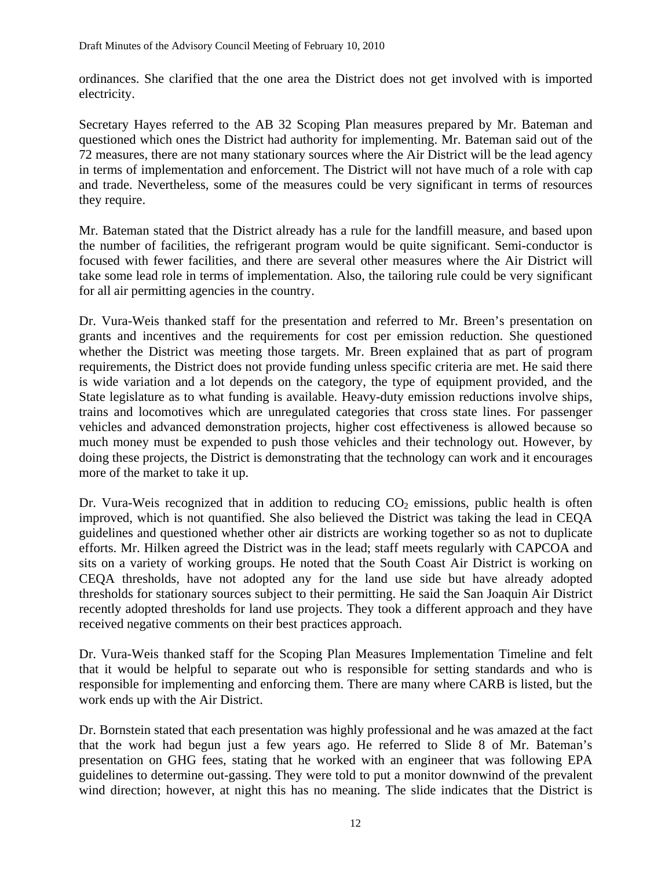ordinances. She clarified that the one area the District does not get involved with is imported electricity.

Secretary Hayes referred to the AB 32 Scoping Plan measures prepared by Mr. Bateman and questioned which ones the District had authority for implementing. Mr. Bateman said out of the 72 measures, there are not many stationary sources where the Air District will be the lead agency in terms of implementation and enforcement. The District will not have much of a role with cap and trade. Nevertheless, some of the measures could be very significant in terms of resources they require.

Mr. Bateman stated that the District already has a rule for the landfill measure, and based upon the number of facilities, the refrigerant program would be quite significant. Semi-conductor is focused with fewer facilities, and there are several other measures where the Air District will take some lead role in terms of implementation. Also, the tailoring rule could be very significant for all air permitting agencies in the country.

Dr. Vura-Weis thanked staff for the presentation and referred to Mr. Breen's presentation on grants and incentives and the requirements for cost per emission reduction. She questioned whether the District was meeting those targets. Mr. Breen explained that as part of program requirements, the District does not provide funding unless specific criteria are met. He said there is wide variation and a lot depends on the category, the type of equipment provided, and the State legislature as to what funding is available. Heavy-duty emission reductions involve ships, trains and locomotives which are unregulated categories that cross state lines. For passenger vehicles and advanced demonstration projects, higher cost effectiveness is allowed because so much money must be expended to push those vehicles and their technology out. However, by doing these projects, the District is demonstrating that the technology can work and it encourages more of the market to take it up.

Dr. Vura-Weis recognized that in addition to reducing  $CO<sub>2</sub>$  emissions, public health is often improved, which is not quantified. She also believed the District was taking the lead in CEQA guidelines and questioned whether other air districts are working together so as not to duplicate efforts. Mr. Hilken agreed the District was in the lead; staff meets regularly with CAPCOA and sits on a variety of working groups. He noted that the South Coast Air District is working on CEQA thresholds, have not adopted any for the land use side but have already adopted thresholds for stationary sources subject to their permitting. He said the San Joaquin Air District recently adopted thresholds for land use projects. They took a different approach and they have received negative comments on their best practices approach.

Dr. Vura-Weis thanked staff for the Scoping Plan Measures Implementation Timeline and felt that it would be helpful to separate out who is responsible for setting standards and who is responsible for implementing and enforcing them. There are many where CARB is listed, but the work ends up with the Air District.

Dr. Bornstein stated that each presentation was highly professional and he was amazed at the fact that the work had begun just a few years ago. He referred to Slide 8 of Mr. Bateman's presentation on GHG fees, stating that he worked with an engineer that was following EPA guidelines to determine out-gassing. They were told to put a monitor downwind of the prevalent wind direction; however, at night this has no meaning. The slide indicates that the District is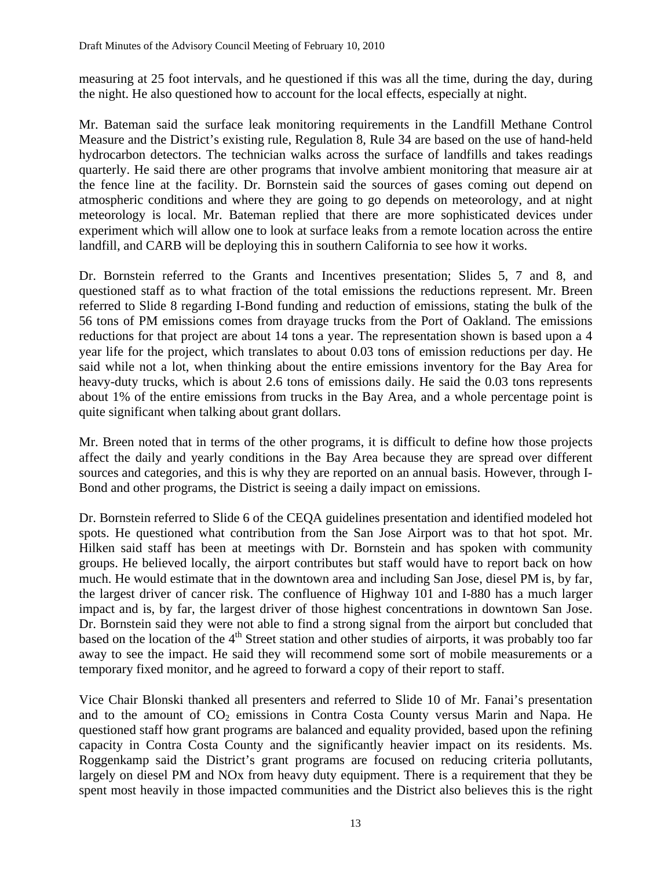measuring at 25 foot intervals, and he questioned if this was all the time, during the day, during the night. He also questioned how to account for the local effects, especially at night.

Mr. Bateman said the surface leak monitoring requirements in the Landfill Methane Control Measure and the District's existing rule, Regulation 8, Rule 34 are based on the use of hand-held hydrocarbon detectors. The technician walks across the surface of landfills and takes readings quarterly. He said there are other programs that involve ambient monitoring that measure air at the fence line at the facility. Dr. Bornstein said the sources of gases coming out depend on atmospheric conditions and where they are going to go depends on meteorology, and at night meteorology is local. Mr. Bateman replied that there are more sophisticated devices under experiment which will allow one to look at surface leaks from a remote location across the entire landfill, and CARB will be deploying this in southern California to see how it works.

Dr. Bornstein referred to the Grants and Incentives presentation; Slides 5, 7 and 8, and questioned staff as to what fraction of the total emissions the reductions represent. Mr. Breen referred to Slide 8 regarding I-Bond funding and reduction of emissions, stating the bulk of the 56 tons of PM emissions comes from drayage trucks from the Port of Oakland. The emissions reductions for that project are about 14 tons a year. The representation shown is based upon a 4 year life for the project, which translates to about 0.03 tons of emission reductions per day. He said while not a lot, when thinking about the entire emissions inventory for the Bay Area for heavy-duty trucks, which is about 2.6 tons of emissions daily. He said the 0.03 tons represents about 1% of the entire emissions from trucks in the Bay Area, and a whole percentage point is quite significant when talking about grant dollars.

Mr. Breen noted that in terms of the other programs, it is difficult to define how those projects affect the daily and yearly conditions in the Bay Area because they are spread over different sources and categories, and this is why they are reported on an annual basis. However, through I-Bond and other programs, the District is seeing a daily impact on emissions.

Dr. Bornstein referred to Slide 6 of the CEQA guidelines presentation and identified modeled hot spots. He questioned what contribution from the San Jose Airport was to that hot spot. Mr. Hilken said staff has been at meetings with Dr. Bornstein and has spoken with community groups. He believed locally, the airport contributes but staff would have to report back on how much. He would estimate that in the downtown area and including San Jose, diesel PM is, by far, the largest driver of cancer risk. The confluence of Highway 101 and I-880 has a much larger impact and is, by far, the largest driver of those highest concentrations in downtown San Jose. Dr. Bornstein said they were not able to find a strong signal from the airport but concluded that based on the location of the  $4<sup>th</sup>$  Street station and other studies of airports, it was probably too far away to see the impact. He said they will recommend some sort of mobile measurements or a temporary fixed monitor, and he agreed to forward a copy of their report to staff.

Vice Chair Blonski thanked all presenters and referred to Slide 10 of Mr. Fanai's presentation and to the amount of  $CO<sub>2</sub>$  emissions in Contra Costa County versus Marin and Napa. He questioned staff how grant programs are balanced and equality provided, based upon the refining capacity in Contra Costa County and the significantly heavier impact on its residents. Ms. Roggenkamp said the District's grant programs are focused on reducing criteria pollutants, largely on diesel PM and NOx from heavy duty equipment. There is a requirement that they be spent most heavily in those impacted communities and the District also believes this is the right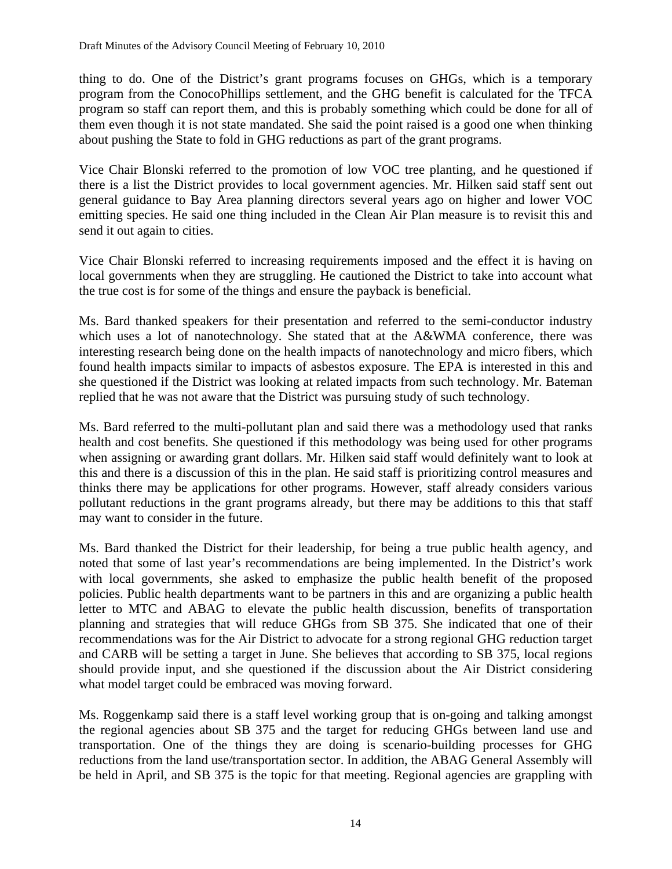thing to do. One of the District's grant programs focuses on GHGs, which is a temporary program from the ConocoPhillips settlement, and the GHG benefit is calculated for the TFCA program so staff can report them, and this is probably something which could be done for all of them even though it is not state mandated. She said the point raised is a good one when thinking about pushing the State to fold in GHG reductions as part of the grant programs.

Vice Chair Blonski referred to the promotion of low VOC tree planting, and he questioned if there is a list the District provides to local government agencies. Mr. Hilken said staff sent out general guidance to Bay Area planning directors several years ago on higher and lower VOC emitting species. He said one thing included in the Clean Air Plan measure is to revisit this and send it out again to cities.

Vice Chair Blonski referred to increasing requirements imposed and the effect it is having on local governments when they are struggling. He cautioned the District to take into account what the true cost is for some of the things and ensure the payback is beneficial.

Ms. Bard thanked speakers for their presentation and referred to the semi-conductor industry which uses a lot of nanotechnology. She stated that at the A&WMA conference, there was interesting research being done on the health impacts of nanotechnology and micro fibers, which found health impacts similar to impacts of asbestos exposure. The EPA is interested in this and she questioned if the District was looking at related impacts from such technology. Mr. Bateman replied that he was not aware that the District was pursuing study of such technology.

Ms. Bard referred to the multi-pollutant plan and said there was a methodology used that ranks health and cost benefits. She questioned if this methodology was being used for other programs when assigning or awarding grant dollars. Mr. Hilken said staff would definitely want to look at this and there is a discussion of this in the plan. He said staff is prioritizing control measures and thinks there may be applications for other programs. However, staff already considers various pollutant reductions in the grant programs already, but there may be additions to this that staff may want to consider in the future.

Ms. Bard thanked the District for their leadership, for being a true public health agency, and noted that some of last year's recommendations are being implemented. In the District's work with local governments, she asked to emphasize the public health benefit of the proposed policies. Public health departments want to be partners in this and are organizing a public health letter to MTC and ABAG to elevate the public health discussion, benefits of transportation planning and strategies that will reduce GHGs from SB 375. She indicated that one of their recommendations was for the Air District to advocate for a strong regional GHG reduction target and CARB will be setting a target in June. She believes that according to SB 375, local regions should provide input, and she questioned if the discussion about the Air District considering what model target could be embraced was moving forward.

Ms. Roggenkamp said there is a staff level working group that is on-going and talking amongst the regional agencies about SB 375 and the target for reducing GHGs between land use and transportation. One of the things they are doing is scenario-building processes for GHG reductions from the land use/transportation sector. In addition, the ABAG General Assembly will be held in April, and SB 375 is the topic for that meeting. Regional agencies are grappling with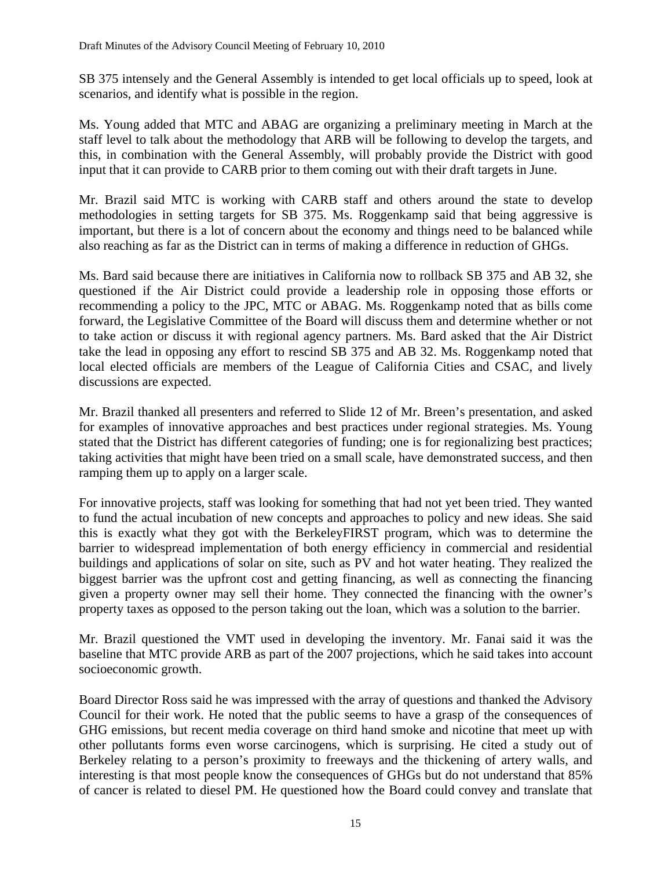SB 375 intensely and the General Assembly is intended to get local officials up to speed, look at scenarios, and identify what is possible in the region.

Ms. Young added that MTC and ABAG are organizing a preliminary meeting in March at the staff level to talk about the methodology that ARB will be following to develop the targets, and this, in combination with the General Assembly, will probably provide the District with good input that it can provide to CARB prior to them coming out with their draft targets in June.

Mr. Brazil said MTC is working with CARB staff and others around the state to develop methodologies in setting targets for SB 375. Ms. Roggenkamp said that being aggressive is important, but there is a lot of concern about the economy and things need to be balanced while also reaching as far as the District can in terms of making a difference in reduction of GHGs.

Ms. Bard said because there are initiatives in California now to rollback SB 375 and AB 32, she questioned if the Air District could provide a leadership role in opposing those efforts or recommending a policy to the JPC, MTC or ABAG. Ms. Roggenkamp noted that as bills come forward, the Legislative Committee of the Board will discuss them and determine whether or not to take action or discuss it with regional agency partners. Ms. Bard asked that the Air District take the lead in opposing any effort to rescind SB 375 and AB 32. Ms. Roggenkamp noted that local elected officials are members of the League of California Cities and CSAC, and lively discussions are expected.

Mr. Brazil thanked all presenters and referred to Slide 12 of Mr. Breen's presentation, and asked for examples of innovative approaches and best practices under regional strategies. Ms. Young stated that the District has different categories of funding; one is for regionalizing best practices; taking activities that might have been tried on a small scale, have demonstrated success, and then ramping them up to apply on a larger scale.

For innovative projects, staff was looking for something that had not yet been tried. They wanted to fund the actual incubation of new concepts and approaches to policy and new ideas. She said this is exactly what they got with the BerkeleyFIRST program, which was to determine the barrier to widespread implementation of both energy efficiency in commercial and residential buildings and applications of solar on site, such as PV and hot water heating. They realized the biggest barrier was the upfront cost and getting financing, as well as connecting the financing given a property owner may sell their home. They connected the financing with the owner's property taxes as opposed to the person taking out the loan, which was a solution to the barrier.

Mr. Brazil questioned the VMT used in developing the inventory. Mr. Fanai said it was the baseline that MTC provide ARB as part of the 2007 projections, which he said takes into account socioeconomic growth.

Board Director Ross said he was impressed with the array of questions and thanked the Advisory Council for their work. He noted that the public seems to have a grasp of the consequences of GHG emissions, but recent media coverage on third hand smoke and nicotine that meet up with other pollutants forms even worse carcinogens, which is surprising. He cited a study out of Berkeley relating to a person's proximity to freeways and the thickening of artery walls, and interesting is that most people know the consequences of GHGs but do not understand that 85% of cancer is related to diesel PM. He questioned how the Board could convey and translate that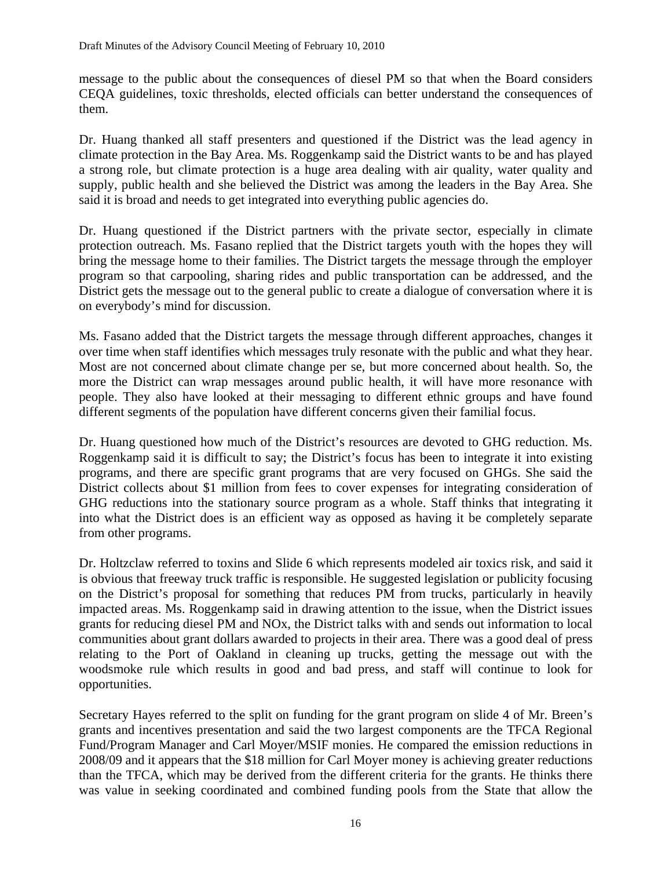message to the public about the consequences of diesel PM so that when the Board considers CEQA guidelines, toxic thresholds, elected officials can better understand the consequences of them.

Dr. Huang thanked all staff presenters and questioned if the District was the lead agency in climate protection in the Bay Area. Ms. Roggenkamp said the District wants to be and has played a strong role, but climate protection is a huge area dealing with air quality, water quality and supply, public health and she believed the District was among the leaders in the Bay Area. She said it is broad and needs to get integrated into everything public agencies do.

Dr. Huang questioned if the District partners with the private sector, especially in climate protection outreach. Ms. Fasano replied that the District targets youth with the hopes they will bring the message home to their families. The District targets the message through the employer program so that carpooling, sharing rides and public transportation can be addressed, and the District gets the message out to the general public to create a dialogue of conversation where it is on everybody's mind for discussion.

Ms. Fasano added that the District targets the message through different approaches, changes it over time when staff identifies which messages truly resonate with the public and what they hear. Most are not concerned about climate change per se, but more concerned about health. So, the more the District can wrap messages around public health, it will have more resonance with people. They also have looked at their messaging to different ethnic groups and have found different segments of the population have different concerns given their familial focus.

Dr. Huang questioned how much of the District's resources are devoted to GHG reduction. Ms. Roggenkamp said it is difficult to say; the District's focus has been to integrate it into existing programs, and there are specific grant programs that are very focused on GHGs. She said the District collects about \$1 million from fees to cover expenses for integrating consideration of GHG reductions into the stationary source program as a whole. Staff thinks that integrating it into what the District does is an efficient way as opposed as having it be completely separate from other programs.

Dr. Holtzclaw referred to toxins and Slide 6 which represents modeled air toxics risk, and said it is obvious that freeway truck traffic is responsible. He suggested legislation or publicity focusing on the District's proposal for something that reduces PM from trucks, particularly in heavily impacted areas. Ms. Roggenkamp said in drawing attention to the issue, when the District issues grants for reducing diesel PM and NOx, the District talks with and sends out information to local communities about grant dollars awarded to projects in their area. There was a good deal of press relating to the Port of Oakland in cleaning up trucks, getting the message out with the woodsmoke rule which results in good and bad press, and staff will continue to look for opportunities.

Secretary Hayes referred to the split on funding for the grant program on slide 4 of Mr. Breen's grants and incentives presentation and said the two largest components are the TFCA Regional Fund/Program Manager and Carl Moyer/MSIF monies. He compared the emission reductions in 2008/09 and it appears that the \$18 million for Carl Moyer money is achieving greater reductions than the TFCA, which may be derived from the different criteria for the grants. He thinks there was value in seeking coordinated and combined funding pools from the State that allow the